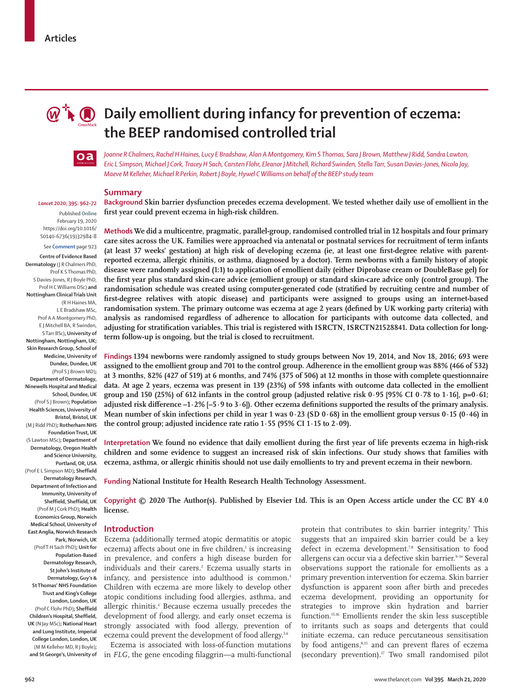

# **Daily emollient during infancy for prevention of eczema: the BEEP randomised controlled trial**



*Joanne R Chalmers, Rachel H Haines, Lucy E Bradshaw, Alan A Montgomery, Kim S Thomas, Sara J Brown, Matthew J Ridd, Sandra Lawton, Eric L Simpson, Michael J Cork, Tracey H Sach, Carsten Flohr, Eleanor J Mitchell, Richard Swinden, Stella Tarr, Susan Davies-Jones, Nicola Jay, Maeve M Kelleher, Michael R Perkin, Robert J Boyle, Hywel C Williams on behalf of the BEEP study team*

*Lancet* **2020; 395: 962–72** Published **Online**

February 19, 2020 https://doi.org/10.1016/ S0140-6736(19)32984-8

See **Comment** page 923

#### **Centre of Evidence Based Dermatology** (J R Chalmers PhD, Prof K S Thomas PhD, S Davies-Jones, R J Boyle PhD, Prof H C Williams DSc) **and Nottingham Clinical Trials Unit**  (R H Haines MA, L E Bradshaw MSc, Prof A A Montgomery PhD, E J Mitchell BA, R Swinden, S Tarr BSc)**, University of Nottingham, Nottingham, UK; Skin Research Group, School of Medicine, University of Dundee, Dundee, UK** (Prof S J Brown MD)**; Department of Dermatology, Ninewells Hospital and Medical School, Dundee, UK** (Prof S J Brown)**; Population Health Sciences, University of Bristol, Bristol, UK** (M J Ridd PhD)**; Rotherham NHS Foundation Trust, UK** (S Lawton MSc)**; Department of Dermatology, Oregon Health and Science University, Portland, OR, USA**  (Prof E L Simpson MD)**; Sheffield Dermatology Research, Department of Infection and Immunity, University of Sheffield, Sheffield, UK** (Prof M J Cork PhD)**; Health Economics Group, Norwich Medical School, University of East Anglia, Norwich Research Park, Norwich, UK** (Prof T H Sach PhD)**; Unit for Population-Based Dermatology Research, St John's Institute of Dermatology, Guy's & St Thomas' NHS Foundation Trust and King's College London, London, UK** (Prof C Flohr PhD)**; Sheffield Children's Hospital, Sheffield, UK** (N Jay MSc)**; National Heart and Lung Institute, Imperial College London, London, UK** (M M Kelleher MD, R J Boyle)**;**

**and St George's, University of**

**Summary**

**Background Skin barrier dysfunction precedes eczema development. We tested whether daily use of emollient in the first year could prevent eczema in high-risk children.**

**Methods We did a multicentre, pragmatic, parallel-group, randomised controlled trial in 12 hospitals and four primary care sites across the UK. Families were approached via antenatal or postnatal services for recruitment of term infants (at least 37 weeks' gestation) at high risk of developing eczema (ie, at least one first-degree relative with parentreported eczema, allergic rhinitis, or asthma, diagnosed by a doctor). Term newborns with a family history of atopic disease were randomly assigned (1:1) to application of emollient daily (either Diprobase cream or DoubleBase gel) for the first year plus standard skin-care advice (emollient group) or standard skin-care advice only (control group). The randomisation schedule was created using computer-generated code (stratified by recruiting centre and number of first-degree relatives with atopic disease) and participants were assigned to groups using an internet-based randomisation system. The primary outcome was eczema at age 2 years (defined by UK working party criteria) with analysis as randomised regardless of adherence to allocation for participants with outcome data collected, and adjusting for stratification variables. This trial is registered with ISRCTN, ISRCTN21528841. Data collection for longterm follow-up is ongoing, but the trial is closed to recruitment.**

**Findings 1394 newborns were randomly assigned to study groups between Nov 19, 2014, and Nov 18, 2016; 693 were assigned to the emollient group and 701 to the control group. Adherence in the emollient group was 88% (466 of 532) at 3 months, 82% (427 of 519) at 6 months, and 74% (375 of 506) at 12 months in those with complete questionnaire data. At age 2 years, eczema was present in 139 (23%) of 598 infants with outcome data collected in the emollient**  group and 150 (25%) of 612 infants in the control group (adjusted relative risk  $0.95$  [95% CI  $0.78$  to  $1.16$ ],  $p=0.61$ ; **adjusted risk difference –1·2% [–5·9 to 3·6]). Other eczema definitions supported the results of the primary analysis. Mean number of skin infections per child in year 1 was 0·23 (SD 0·68) in the emollient group versus 0·15 (0·46) in the control group; adjusted incidence rate ratio 1·55 (95% CI 1·15 to 2·09).**

**Interpretation We found no evidence that daily emollient during the first year of life prevents eczema in high-risk children and some evidence to suggest an increased risk of skin infections. Our study shows that families with eczema, asthma, or allergic rhinitis should not use daily emollients to try and prevent eczema in their newborn.**

**Funding National Institute for Health Research Health Technology Assessment.**

**Copyright © 2020 The Author(s). Published by Elsevier Ltd. This is an Open Access article under the CC BY 4.0 license.**

## **Introduction**

Eczema (additionally termed atopic dermatitis or atopic eczema) affects about one in five children,<sup>1</sup> is increasing in prevalence, and confers a high disease burden for individuals and their carers.<sup>2</sup> Eczema usually starts in infancy, and persistence into adulthood is common.<sup>3</sup> Children with eczema are more likely to develop other atopic conditions including food allergies, asthma, and allergic rhinitis.<sup>4</sup> Because eczema usually precedes the development of food allergy, and early onset eczema is strongly associated with food allergy, prevention of eczema could prevent the development of food allergy.<sup>5,6</sup>

Eczema is associated with loss-of-function mutations in *FLG,* the gene encoding filaggrin—a multi-functional

protein that contributes to skin barrier integrity.<sup>7</sup> This suggests that an impaired skin barrier could be a key defect in eczema development.<sup>7,8</sup> Sensitisation to food allergens can occur via a defective skin barrier.<sup>9-14</sup> Several observations support the rationale for emollients as a primary prevention intervention for eczema. Skin barrier dysfunction is apparent soon after birth and precedes eczema development, providing an opportunity for strategies to improve skin hydration and barrier function.15,16 Emollients render the skin less susceptible to irritants such as soaps and detergents that could initiate eczema, can reduce percutaneous sensitisation by food antigens,<sup>8,15</sup> and can prevent flares of eczema (secondary prevention).<sup> $17$ </sup> Two small randomised pilot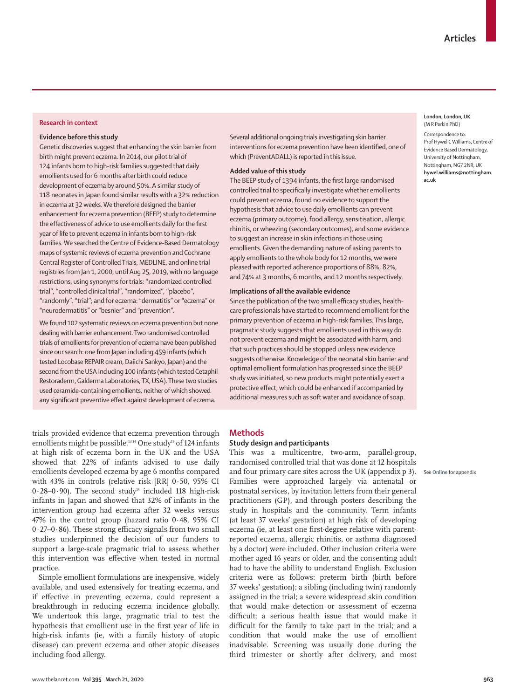## **Research in context**

## **Evidence before this study**

Genetic discoveries suggest that enhancing the skin barrier from birth might prevent eczema. In 2014, our pilot trial of 124 infants born to high-risk families suggested that daily emollients used for 6 months after birth could reduce development of eczema by around 50%. A similar study of 118 neonates in Japan found similar results with a 32% reduction in eczema at 32 weeks. We therefore designed the barrier enhancement for eczema prevention (BEEP) study to determine the effectiveness of advice to use emollients daily for the first year of life to prevent eczema in infants born to high-risk families. We searched the Centre of Evidence-Based Dermatology maps of systemic reviews of eczema prevention and Cochrane Central Register of Controlled Trials, MEDLINE, and online trial registries from Jan 1, 2000, until Aug 25, 2019, with no language restrictions, using synonyms for trials: ''randomized controlled trial'', ''controlled clinical trial'', ''randomized'', ''placebo'', ''randomly'', ''trial''; and for eczema: "dermatitis" or "eczema" or "neurodermatitis" or "besnier" and "prevention".

We found 102 systematic reviews on eczema prevention but none dealing with barrier enhancement. Two randomised controlled trials of emollients for prevention of eczema have been published since our search: one from Japan including 459 infants (which tested Locobase REPAIR cream, Daiichi Sankyo, Japan) and the second from the USA including 100 infants (which tested Cetaphil Restoraderm, Galderma Laboratories, TX, USA). These two studies used ceramide-containing emollients, neither of which showed any significant preventive effect against development of eczema.

trials provided evidence that eczema prevention through emollients might be possible.<sup>13,14</sup> One study<sup>13</sup> of 124 infants at high risk of eczema born in the UK and the USA showed that 22% of infants advised to use daily emollients developed eczema by age 6 months compared with 43% in controls (relative risk [RR] 0·50, 95% CI  $0.28-0.90$ ). The second study<sup>14</sup> included 118 high-risk infants in Japan and showed that 32% of infants in the intervention group had eczema after 32 weeks versus 47% in the control group (hazard ratio 0·48, 95% CI  $0.27-0.86$ ). These strong efficacy signals from two small studies underpinned the decision of our funders to support a large-scale pragmatic trial to assess whether this intervention was effective when tested in normal practice.

Simple emollient formulations are inexpensive, widely available, and used extensively for treating eczema, and if effective in preventing eczema, could represent a breakthrough in reducing eczema incidence globally. We undertook this large, pragmatic trial to test the hypothesis that emollient use in the first year of life in high-risk infants (ie, with a family history of atopic disease) can prevent eczema and other atopic diseases including food allergy.

Several additional ongoing trials investigating skin barrier interventions for eczema prevention have been identified, one of which (PreventADALL) is reported in this issue.

# **Added value of this study**

The BEEP study of 1394 infants, the first large randomised controlled trial to specifically investigate whether emollients could prevent eczema, found no evidence to support the hypothesis that advice to use daily emollients can prevent eczema (primary outcome), food allergy, sensitisation, allergic rhinitis, or wheezing (secondary outcomes), and some evidence to suggest an increase in skin infections in those using emollients. Given the demanding nature of asking parents to apply emollients to the whole body for 12 months, we were pleased with reported adherence proportions of 88%, 82%, and 74% at 3 months, 6 months, and 12 months respectively.

# **Implications of all the available evidence**

Since the publication of the two small efficacy studies, healthcare professionals have started to recommend emollient for the primary prevention of eczema in high-risk families. This large, pragmatic study suggests that emollients used in this way do not prevent eczema and might be associated with harm, and that such practices should be stopped unless new evidence suggests otherwise. Knowledge of the neonatal skin barrier and optimal emollient formulation has progressed since the BEEP study was initiated, so new products might potentially exert a protective effect, which could be enhanced if accompanied by additional measures such as soft water and avoidance of soap.

# **Methods**

## **Study design and participants**

This was a multicentre, two-arm, parallel-group, randomised controlled trial that was done at 12 hospitals and four primary care sites across the UK (appendix p 3). See **Online** for appendixFamilies were approached largely via antenatal or postnatal services, by invitation letters from their general practitioners (GP), and through posters describing the study in hospitals and the community. Term infants (at least 37 weeks' gestation) at high risk of developing eczema (ie, at least one first-degree relative with parentreported eczema, allergic rhinitis, or asthma diagnosed by a doctor) were included. Other inclusion criteria were mother aged 16 years or older, and the consenting adult had to have the ability to understand English. Exclusion criteria were as follows: preterm birth (birth before 37 weeks' gestation); a sibling (including twin) randomly assigned in the trial; a severe widespread skin condition that would make detection or assessment of eczema difficult; a serious health issue that would make it difficult for the family to take part in the trial; and a condition that would make the use of emollient inadvisable. Screening was usually done during the third trimester or shortly after delivery, and most

#### **London, London, UK** (M R Perkin PhD)

Correspondence to: Prof Hywel C Williams, Centre of Evidence Based Dermatology, University of Nottingham, Nottingham, NG7 2NR, UK **hywel.williams@nottingham. ac.uk**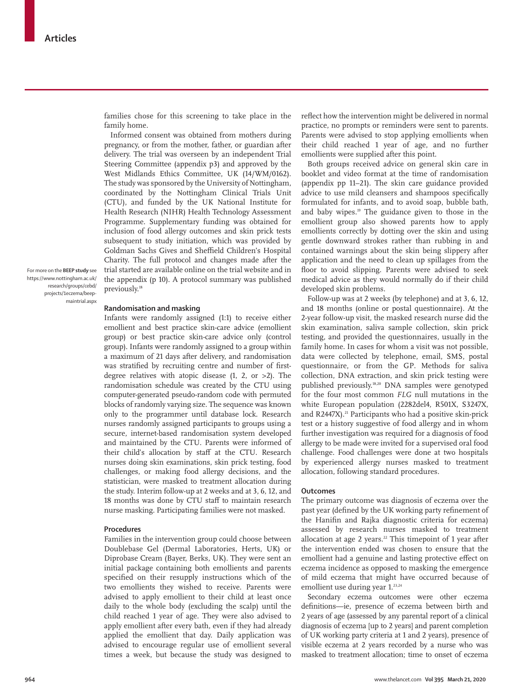families chose for this screening to take place in the family home.

Informed consent was obtained from mothers during pregnancy, or from the mother, father, or guardian after delivery. The trial was overseen by an independent Trial Steering Committee (appendix p3) and approved by the West Midlands Ethics Committee, UK (14/WM/0162). The study was sponsored by the University of Nottingham, coordinated by the Nottingham Clinical Trials Unit (CTU), and funded by the UK National Institute for Health Research (NIHR) Health Technology Assessment Programme. Supplementary funding was obtained for inclusion of food allergy outcomes and skin prick tests subsequent to study initiation, which was provided by Goldman Sachs Gives and Sheffield Children's Hospital Charity. The full protocol and changes made after the trial started are available online on the [trial website](https://www.nottingham.ac.uk/research/groups/cebd/projects/1eczema/beep-maintrial.aspx) and in the appendix (p 10). A protocol summary was published previously.18

For more on the **BEEP study** see [https://www.nottingham.ac.uk/](https://www.nottingham.ac.uk/research/groups/cebd/projects/1eczema/beep-maintrial.aspx) [research/groups/cebd/](https://www.nottingham.ac.uk/research/groups/cebd/projects/1eczema/beep-maintrial.aspx) [projects/1eczema/beep-](https://www.nottingham.ac.uk/research/groups/cebd/projects/1eczema/beep-maintrial.aspx).<br>maintrial aspx

## **Randomisation and masking**

Infants were randomly assigned (1:1) to receive either emollient and best practice skin-care advice (emollient group) or best practice skin-care advice only (control group). Infants were randomly assigned to a group within a maximum of 21 days after delivery, and randomisation was stratified by recruiting centre and number of firstdegree relatives with atopic disease (1, 2, or >2). The randomisation schedule was created by the CTU using computer-generated pseudo-random code with permuted blocks of randomly varying size. The sequence was known only to the programmer until database lock. Research nurses randomly assigned participants to groups using a secure, internet-based randomisation system developed and maintained by the CTU. Parents were informed of their child's allocation by staff at the CTU. Research nurses doing skin examinations, skin prick testing, food challenges, or making food allergy decisions, and the statistician, were masked to treatment allocation during the study. Interim follow-up at 2 weeks and at 3, 6, 12, and 18 months was done by CTU staff to maintain research nurse masking. Participating families were not masked.

## **Procedures**

Families in the intervention group could choose between Doublebase Gel (Dermal Laboratories, Herts, UK) or Diprobase Cream (Bayer, Berks, UK). They were sent an initial package containing both emollients and parents specified on their resupply instructions which of the two emollients they wished to receive. Parents were advised to apply emollient to their child at least once daily to the whole body (excluding the scalp) until the child reached 1 year of age. They were also advised to apply emollient after every bath, even if they had already applied the emollient that day. Daily application was advised to encourage regular use of emollient several times a week, but because the study was designed to reflect how the intervention might be delivered in normal practice, no prompts or reminders were sent to parents. Parents were advised to stop applying emollients when their child reached 1 year of age, and no further emollients were supplied after this point.

Both groups received advice on general skin care in booklet and video format at the time of randomisation (appendix pp 11–21). The skin care guidance provided advice to use mild cleansers and shampoos specifically formulated for infants, and to avoid soap, bubble bath, and baby wipes.19 The guidance given to those in the emollient group also showed parents how to apply emollients correctly by dotting over the skin and using gentle downward strokes rather than rubbing in and contained warnings about the skin being slippery after application and the need to clean up spillages from the floor to avoid slipping. Parents were advised to seek medical advice as they would normally do if their child developed skin problems.

Follow-up was at 2 weeks (by telephone) and at 3, 6, 12, and 18 months (online or postal questionnaire). At the 2-year follow-up visit, the masked research nurse did the skin examination, saliva sample collection, skin prick testing, and provided the questionnaires, usually in the family home. In cases for whom a visit was not possible, data were collected by telephone, email, SMS, postal questionnaire, or from the GP. Methods for saliva collection, DNA extraction, and skin prick testing were published previously.18,20 DNA samples were genotyped for the four most common *FLG* null mutations in the white European population (2282del4, R501X, S3247X, and R2447X).<sup>21</sup> Participants who had a positive skin-prick test or a history suggestive of food allergy and in whom further investigation was required for a diagnosis of food allergy to be made were invited for a supervised oral food challenge. Food challenges were done at two hospitals by experienced allergy nurses masked to treatment allocation, following standard procedures.

## **Outcomes**

The primary outcome was diagnosis of eczema over the past year (defined by the UK working party refinement of the Hanifin and Rajka diagnostic criteria for eczema) assessed by research nurses masked to treatment allocation at age 2 years.<sup>22</sup> This timepoint of 1 year after the intervention ended was chosen to ensure that the emollient had a genuine and lasting protective effect on eczema incidence as opposed to masking the emergence of mild eczema that might have occurred because of emollient use during year 1.<sup>23,24</sup>

Secondary eczema outcomes were other eczema definitions—ie, presence of eczema between birth and 2 years of age (assessed by any parental report of a clinical diagnosis of eczema [up to 2 years] and parent completion of UK working party criteria at 1 and 2 years), presence of visible eczema at 2 years recorded by a nurse who was masked to treatment allocation; time to onset of eczema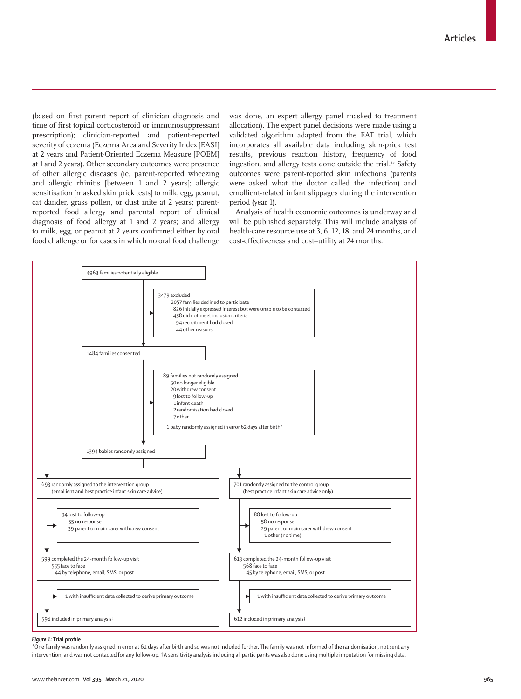(based on first parent report of clinician diagnosis and time of first topical corticosteroid or immunosuppressant prescription); clinician-reported and patient-reported severity of eczema (Eczema Area and Severity Index [EASI] at 2 years and Patient-Oriented Eczema Measure [POEM] at 1 and 2 years). Other secondary outcomes were presence of other allergic diseases (ie, parent-reported wheezing and allergic rhinitis [between 1 and 2 years]; allergic sensitisation [masked skin prick tests] to milk, egg, peanut, cat dander, grass pollen, or dust mite at 2 years; parentreported food allergy and parental report of clinical diagnosis of food allergy at 1 and 2 years; and allergy to milk, egg, or peanut at 2 years confirmed either by oral food challenge or for cases in which no oral food challenge was done, an expert allergy panel masked to treatment allocation). The expert panel decisions were made using a validated algorithm adapted from the EAT trial, which incorporates all available data including skin-prick test results, previous reaction history, frequency of food ingestion, and allergy tests done outside the trial.<sup>25</sup> Safety outcomes were parent-reported skin infections (parents were asked what the doctor called the infection) and emollient-related infant slippages during the intervention period (year 1).

Analysis of health economic outcomes is underway and will be published separately. This will include analysis of health-care resource use at 3, 6, 12, 18, and 24 months, and cost-effectiveness and cost–utility at 24 months.



#### *Figure 1:* **Trial profile**

\*One family was randomly assigned in error at 62 days after birth and so was not included further. The family was not informed of the randomisation, not sent any intervention, and was not contacted for any follow-up. †A sensitivity analysis including all participants was also done using multiple imputation for missing data.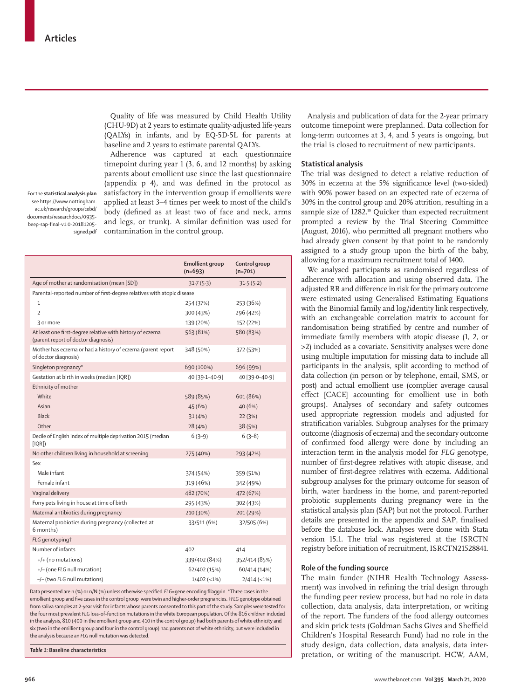Quality of life was measured by Child Health Utility (CHU-9D) at 2 years to estimate quality-adjusted life-years (QALYs) in infants, and by EQ-5D-5L for parents at baseline and 2 years to estimate parental QALYs.

Adherence was captured at each questionnaire timepoint during year 1 (3, 6, and 12 months) by asking parents about emollient use since the last questionnaire (appendix p 4), and was defined in the protocol as satisfactory in the intervention group if emollients were applied at least 3–4 times per week to most of the child's body (defined as at least two of face and neck, arms and legs, or trunk). A similar definition was used for contamination in the control group.

For the **statistical analysis plan**  see [https://www.nottingham.](https://www.nottingham.ac.uk/research/groups/cebd/documents/researchdocs/0935-beep-sap-final-v1.0-20181205-signed.pdf) [ac.uk/research/groups/cebd/](https://www.nottingham.ac.uk/research/groups/cebd/documents/researchdocs/0935-beep-sap-final-v1.0-20181205-signed.pdf) [documents/researchdocs/0935](https://www.nottingham.ac.uk/research/groups/cebd/documents/researchdocs/0935-beep-sap-final-v1.0-20181205-signed.pdf) [beep-sap-final-v1.0-20181205](https://www.nottingham.ac.uk/research/groups/cebd/documents/researchdocs/0935-beep-sap-final-v1.0-20181205-signed.pdf) [signed.pdf](https://www.nottingham.ac.uk/research/groups/cebd/documents/researchdocs/0935-beep-sap-final-v1.0-20181205-signed.pdf)

|                                                                                                  | <b>Emollient group</b><br>$(n=693)$ | Control group<br>$(n=701)$ |
|--------------------------------------------------------------------------------------------------|-------------------------------------|----------------------------|
| Age of mother at randomisation (mean [SD])                                                       | 31.7(5.3)                           | 31.5(5.2)                  |
| Parental-reported number of first-degree relatives with atopic disease                           |                                     |                            |
| $\mathbf{1}$                                                                                     | 254 (37%)                           | 253 (36%)                  |
| $\overline{\phantom{a}}$                                                                         | 300 (43%)                           | 296 (42%)                  |
| 3 or more                                                                                        | 139 (20%)                           | 152 (22%)                  |
| At least one first-degree relative with history of eczema<br>(parent report of doctor diagnosis) | 563 (81%)                           | 580 (83%)                  |
| Mother has eczema or had a history of eczema (parent report<br>of doctor diagnosis)              | 348 (50%)                           | 372 (53%)                  |
| Singleton pregnancy*                                                                             | 690 (100%)                          | 696 (99%)                  |
| Gestation at birth in weeks (median [IQR])                                                       | 40 [39-1-40-9]                      | 40 [39.0-40.9]             |
| Ethnicity of mother                                                                              |                                     |                            |
| White                                                                                            | 589 (85%)                           | 601 (86%)                  |
| Asian                                                                                            | 45 (6%)                             | 40 (6%)                    |
| <b>Black</b>                                                                                     | 31(4%)                              | 22 (3%)                    |
| Other                                                                                            | 28 (4%)                             | 38 (5%)                    |
| Decile of English index of multiple deprivation 2015 (median<br>[IQR]                            | $6(3-9)$                            | $6(3-8)$                   |
| No other children living in household at screening                                               | 275 (40%)                           | 293 (42%)                  |
| Sex                                                                                              |                                     |                            |
| Male infant                                                                                      | 374 (54%)                           | 359 (51%)                  |
| Female infant                                                                                    | 319 (46%)                           | 342 (49%)                  |
| Vaginal delivery                                                                                 | 482 (70%)                           | 472 (67%)                  |
| Furry pets living in house at time of birth                                                      | 295 (43%)                           | 302 (43%)                  |
| Maternal antibiotics during pregnancy                                                            | 210 (30%)                           | 201 (29%)                  |
| Maternal probiotics during pregnancy (collected at<br>6 months)                                  | 33/511 (6%)                         | 32/505 (6%)                |
| FLG genotyping†                                                                                  |                                     |                            |
| Number of infants                                                                                | 402                                 | 414                        |
| $+/+$ (no mutations)                                                                             | 339/402 (84%)                       | 352/414 (85%)              |
| +/- (one FLG null mutation)                                                                      | 62/402 (15%)                        | 60/414 (14%)               |
| -/- (two FLG null mutations)                                                                     | $1/402$ (<1%)                       | $2/414 (-1%)$              |
|                                                                                                  |                                     |                            |

Data presented are n (%) or n/N (%) unless otherwise specified.*FLG*=gene encoding filaggrin. \*Three cases in the emollient group and five cases in the control group were twin and higher-order pregnancies. †*FLG* genotype obtained from saliva samples at 2-year visit for infants whose parents consented to this part of the study. Samples were tested for the four most prevalent *FLG* loss-of-function mutations in the white European population. Of the 816 children included in the analysis, 810 (400 in the emollient group and 410 in the control group) had both parents of white ethnicity and six (two in the emillient group and four in the control group) had parents not of white ethnicity, but were included in the analysis because an *FLG* null mutation was detected.

*Table 1:* **Baseline characteristics**

Analysis and publication of data for the 2-year primary outcome timepoint were preplanned. Data collection for long-term outcomes at 3, 4, and 5 years is ongoing, but the trial is closed to recruitment of new participants.

## **Statistical analysis**

The trial was designed to detect a relative reduction of 30% in eczema at the 5% significance level (two-sided) with 90% power based on an expected rate of eczema of 30% in the control group and 20% attrition, resulting in a sample size of 1282.<sup>18</sup> Quicker than expected recruitment prompted a review by the Trial Steering Committee (August, 2016), who permitted all pregnant mothers who had already given consent by that point to be randomly assigned to a study group upon the birth of the baby, allowing for a maximum recruitment total of 1400.

We analysed participants as randomised regardless of adherence with allocation and using observed data. The adjusted RR and difference in risk for the primary outcome were estimated using Generalised Estimating Equations with the Binomial family and log/identity link respectively, with an exchangeable correlation matrix to account for randomisation being stratified by centre and number of immediate family members with atopic disease (1, 2, or >2) included as a covariate. Sensitivity analyses were done using multiple imputation for missing data to include all participants in the analysis, split according to method of data collection (in person or by telephone, email, SMS, or post) and actual emollient use (complier average causal effect [CACE] accounting for emollient use in both groups). Analyses of secondary and safety outcomes used appropriate regression models and adjusted for stratification variables. Subgroup analyses for the primary outcome (diagnosis of eczema) and the secondary outcome of confirmed food allergy were done by including an interaction term in the analysis model for *FLG* genotype, number of first-degree relatives with atopic disease, and number of first-degree relatives with eczema. Additional subgroup analyses for the primary outcome for season of birth, water hardness in the home, and parent-reported probiotic supplements during pregnancy were in the statistical [analysis plan](https://www.nottingham.ac.uk/research/groups/cebd/documents/researchdocs/0935-beep-sap-final-v1.0-20181205-signed.pdf) (SAP) but not the protocol. Further details are presented in the appendix and SAP, finalised before the database lock. Analyses were done with Stata version 15.1. The trial was registered at the ISRCTN registry before initiation of recruitment, ISRCTN21528841.

## **Role of the funding source**

The main funder (NIHR Health Technology Assessment) was involved in refining the trial design through the funding peer review process, but had no role in data collection, data analysis, data interpretation, or writing of the report. The funders of the food allergy outcomes and skin prick tests (Goldman Sachs Gives and Sheffield Children's Hospital Research Fund) had no role in the study design, data collection, data analysis, data interpretation, or writing of the manuscript. HCW, AAM,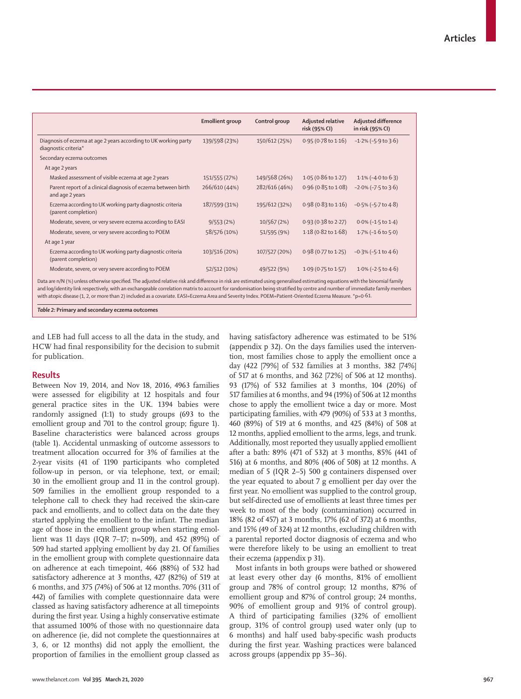|                                                                                                                                                                              | <b>Emollient group</b> | Control group | Adjusted relative<br>risk (95% CI) | Adjusted difference<br>in risk (95% CI) |
|------------------------------------------------------------------------------------------------------------------------------------------------------------------------------|------------------------|---------------|------------------------------------|-----------------------------------------|
| Diagnosis of eczema at age 2 years according to UK working party<br>diagnostic criteria*                                                                                     | 139/598 (23%)          | 150/612 (25%) | $0.95(0.78 \text{ to } 1.16)$      | $-1.2\% (-5.9 \text{ to } 3.6)$         |
| Secondary eczema outcomes                                                                                                                                                    |                        |               |                                    |                                         |
| At age 2 years                                                                                                                                                               |                        |               |                                    |                                         |
| Masked assessment of visible eczema at age 2 years                                                                                                                           | 151/555 (27%)          | 149/568 (26%) | $1.05(0.86 \text{ to } 1.27)$      | $1.1\%$ (-4.0 to 6.3)                   |
| Parent report of a clinical diagnosis of eczema between birth<br>and age 2 years                                                                                             | 266/610 (44%)          | 282/616 (46%) | $0.96(0.85 \text{ to } 1.08)$      | $-2.0\%$ ( $-7.5$ to 3.6)               |
| Eczema according to UK working party diagnostic criteria<br>(parent completion)                                                                                              | 187/599 (31%)          | 195/612 (32%) | $0.98(0.83 \text{ to } 1.16)$      | $-0.5\%$ ( $-5.7$ to $4.8$ )            |
| Moderate, severe, or very severe eczema according to EASI                                                                                                                    | 9/553(2%)              | 10/567 (2%)   | 0.93 (0.38 to 2.27)                | $0.0\%$ (-1.5 to 1.4)                   |
| Moderate, severe, or very severe according to POEM                                                                                                                           | 58/576 (10%)           | 51/595 (9%)   | $1.18(0.82 \text{ to } 1.68)$      | $1.7\%$ (-1.6 to 5.0)                   |
| At age 1 year                                                                                                                                                                |                        |               |                                    |                                         |
| Eczema according to UK working party diagnostic criteria<br>(parent completion)                                                                                              | 103/516 (20%)          | 107/527 (20%) | 0.98 (0.77 to 1.25)                | $-0.3\%$ ( $-5.1$ to $4.6$ )            |
| Moderate, severe, or very severe according to POEM                                                                                                                           | 52/512 (10%)           | 49/522 (9%)   | 1.09 (0.75 to 1.57)                | $1.0\%$ (-2.5 to 4.6)                   |
| Data are n/N (%) unless otherwise specified. The adjusted relative risk and difference in risk are estimated using generalised estimating equations with the binomial family |                        |               |                                    |                                         |

and log/identity link respectively, with an exchangeable correlation matrix to account for randomisation being stratified by centre and number of immediate family members with atopic disease (1, 2, or more than 2) included as a covariate. EASI=Eczema Area and Severity Index. POEM=Patient-Oriented Eczema Measure. \*p=0·61.

*Table 2:* **Primary and secondary eczema outcomes**

and LEB had full access to all the data in the study, and HCW had final responsibility for the decision to submit for publication.

## **Results**

Between Nov 19, 2014, and Nov 18, 2016, 4963 families were assessed for eligibility at 12 hospitals and four general practice sites in the UK. 1394 babies were randomly assigned (1:1) to study groups (693 to the emollient group and 701 to the control group; figure 1). Baseline characteristics were balanced across groups (table 1). Accidental unmasking of outcome assessors to treatment allocation occurred for 3% of families at the 2-year visits (41 of 1190 participants who completed follow-up in person, or via telephone, text, or email; 30 in the emollient group and 11 in the control group). 509 families in the emollient group responded to a telephone call to check they had received the skin-care pack and emollients, and to collect data on the date they started applying the emollient to the infant. The median age of those in the emollient group when starting emollient was 11 days (IQR 7–17; n=509), and 452 (89%) of 509 had started applying emollient by day 21. Of families in the emollient group with complete questionnaire data on adherence at each timepoint, 466 (88%) of 532 had satisfactory adherence at 3 months, 427 (82%) of 519 at 6 months, and 375 (74%) of 506 at 12 months. 70% (311 of 442) of families with complete questionnaire data were classed as having satisfactory adherence at all timepoints during the first year. Using a highly conservative estimate that assumed 100% of those with no questionnaire data on adherence (ie, did not complete the questionnaires at 3, 6, or 12 months) did not apply the emollient, the proportion of families in the emollient group classed as having satisfactory adherence was estimated to be 51% (appendix p 32). On the days families used the intervention, most families chose to apply the emollient once a day (422 [79%] of 532 families at 3 months, 382 [74%] of 517 at 6 months, and 362 [72%] of 506 at 12 months). 93 (17%) of 532 families at 3 months, 104 (20%) of 517 families at 6 months, and 94 (19%) of 506 at 12 months chose to apply the emollient twice a day or more. Most participating families, with 479 (90%) of 533 at 3 months, 460 (89%) of 519 at 6 months, and 425 (84%) of 508 at 12 months, applied emollient to the arms, legs, and trunk. Additionally, most reported they usually applied emollient after a bath: 89% (471 of 532) at 3 months, 85% (441 of 516) at 6 months, and 80% (406 of 508) at 12 months. A median of 5 (IQR 2–5) 500 g containers dispensed over the year equated to about 7 g emollient per day over the first year. No emollient was supplied to the control group, but self-directed use of emollients at least three times per week to most of the body (contamination) occurred in 18% (82 of 457) at 3 months, 17% (62 of 372) at 6 months, and 15% (49 of 324) at 12 months, excluding children with a parental reported doctor diagnosis of eczema and who were therefore likely to be using an emollient to treat their eczema (appendix p 31).

Most infants in both groups were bathed or showered at least every other day (6 months, 81% of emollient group and 78% of control group; 12 months, 87% of emollient group and 87% of control group; 24 months, 90% of emollient group and 91% of control group). A third of participating families (32% of emollient group, 31% of control group) used water only (up to 6 months) and half used baby-specific wash products during the first year. Washing practices were balanced across groups (appendix pp 35–36).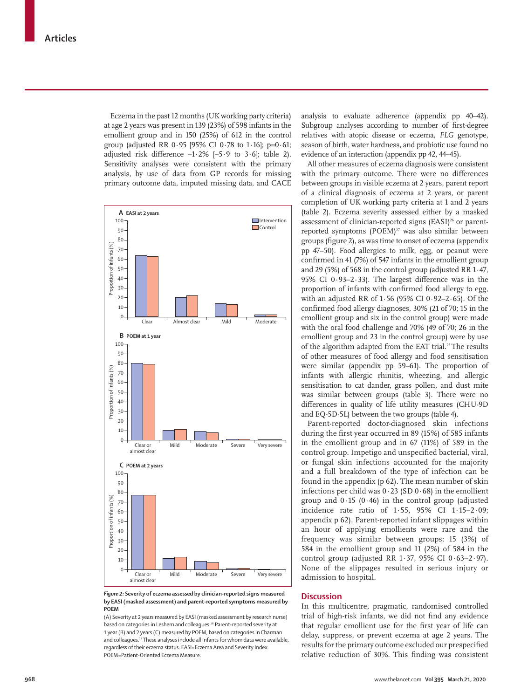Eczema in the past 12 months (UK working party criteria) at age 2 years was present in 139 (23%) of 598 infants in the emollient group and in 150 (25%) of 612 in the control group (adjusted RR 0·95 [95% CI 0·78 to 1·16]; p=0·61; adjusted risk difference  $-1.2\%$   $[-5.9$  to  $3.6]$ ; table 2). Sensitivity analyses were consistent with the primary analysis, by use of data from GP records for missing primary outcome data, imputed missing data, and CACE



*Figure 2:* **Severity of eczema assessed by clinician-reported signs measured by EASI (masked assessment) and parent-reported symptoms measured by POEM**

(A) Severity at 2 years measured by EASI (masked assessment by research nurse) based on categories in Leshem and colleagues.26 Parent-reported severity at 1 year (B) and 2 years (C) measured by POEM, based on categories in Charman and colleagues.<sup>27</sup> These analyses include all infants for whom data were available, regardless of their eczema status. EASI=Eczema Area and Severity Index. POEM=Patient-Oriented Eczema Measure.

analysis to evaluate adherence (appendix pp 40–42). Subgroup analyses according to number of first-degree relatives with atopic disease or eczema, *FLG* genotype, season of birth, water hardness, and probiotic use found no evidence of an interaction (appendix pp 42, 44–45).

All other measures of eczema diagnosis were consistent with the primary outcome. There were no differences between groups in visible eczema at 2 years, parent report of a clinical diagnosis of eczema at 2 years, or parent completion of UK working party criteria at 1 and 2 years (table 2). Eczema severity assessed either by a masked assessment of clinician-reported signs (EASI)<sup>26</sup> or parentreported symptoms (POEM) $^{27}$  was also similar between groups (figure 2), as was time to onset of eczema (appendix pp 47–50). Food allergies to milk, egg, or peanut were confirmed in 41 (7%) of 547 infants in the emollient group and 29 (5%) of 568 in the control group (adjusted RR 1·47, 95% CI 0·93–2·33). The largest difference was in the proportion of infants with confirmed food allergy to egg, with an adjusted RR of 1·56 (95% CI 0·92–2·65). Of the confirmed food allergy diagnoses, 30% (21 of 70; 15 in the emollient group and six in the control group) were made with the oral food challenge and 70% (49 of 70; 26 in the emollient group and 23 in the control group) were by use of the algorithm adapted from the EAT trial.<sup>25</sup> The results of other measures of food allergy and food sensitisation were similar (appendix pp 59–61). The proportion of infants with allergic rhinitis, wheezing, and allergic sensitisation to cat dander, grass pollen, and dust mite was similar between groups (table 3). There were no differences in quality of life utility measures (CHU-9D and EQ-5D-5L) between the two groups (table 4).

Parent-reported doctor-diagnosed skin infections during the first year occurred in 89 (15%) of 585 infants in the emollient group and in 67 (11%) of 589 in the control group. Impetigo and unspecified bacterial, viral, or fungal skin infections accounted for the majority and a full breakdown of the type of infection can be found in the appendix (p 62). The mean number of skin infections per child was  $0.23$  (SD  $0.68$ ) in the emollient group and  $0.15$  (0.46) in the control group (adjusted incidence rate ratio of 1·55, 95% CI 1·15–2·09; appendix p 62). Parent-reported infant slippages within an hour of applying emollients were rare and the frequency was similar between groups: 15 (3%) of 584 in the emollient group and 11 (2%) of 584 in the control group (adjusted RR 1·37, 95% CI 0·63–2·97). None of the slippages resulted in serious injury or admission to hospital.

## **Discussion**

In this multicentre, pragmatic, randomised controlled trial of high-risk infants, we did not find any evidence that regular emollient use for the first year of life can delay, suppress, or prevent eczema at age 2 years. The results for the primary outcome excluded our prespecified relative reduction of 30%. This finding was consistent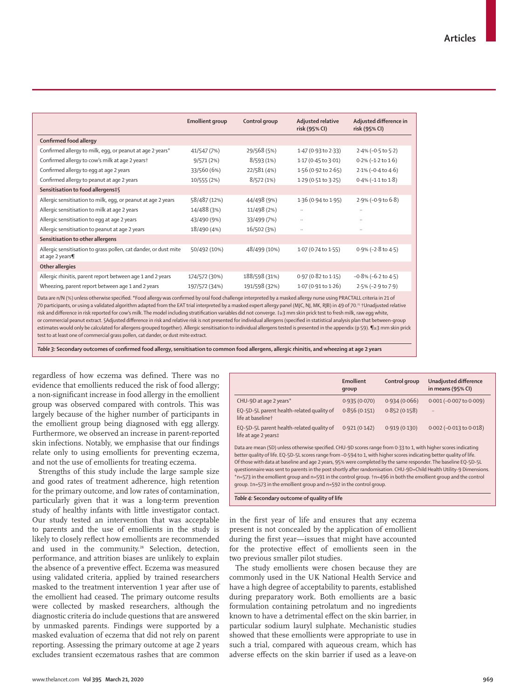|                                                                                                                                                                                                                                | <b>Emollient group</b> | Control group | Adjusted relative<br>risk (95% CI)                                                                                                                                                                                             | Adjusted difference in<br>risk (95% CI) |
|--------------------------------------------------------------------------------------------------------------------------------------------------------------------------------------------------------------------------------|------------------------|---------------|--------------------------------------------------------------------------------------------------------------------------------------------------------------------------------------------------------------------------------|-----------------------------------------|
| Confirmed food allergy                                                                                                                                                                                                         |                        |               |                                                                                                                                                                                                                                |                                         |
| Confirmed allergy to milk, egg, or peanut at age 2 years*                                                                                                                                                                      | 41/547 (7%)            | 29/568 (5%)   | 1.47 (0.93 to 2.33)                                                                                                                                                                                                            | $2.4\%$ (-0.5 to 5.2)                   |
| Confirmed allergy to cow's milk at age 2 years +                                                                                                                                                                               | 9/571(2%)              | 8/593(1%)     | 1.17 (0.45 to 3.01)                                                                                                                                                                                                            | $0.2\%$ (-1.2 to 1.6)                   |
| Confirmed allergy to egg at age 2 years                                                                                                                                                                                        | 33/560 (6%)            | 22/581 (4%)   | $1.56$ (0.92 to 2.65)                                                                                                                                                                                                          | $2.1\% (-0.4 to 4.6)$                   |
| Confirmed allergy to peanut at age 2 years                                                                                                                                                                                     | 10/555 (2%)            | 8/572(1%)     | 1.29 (0.51 to 3.25)                                                                                                                                                                                                            | $0.4\%$ (-1.1 to 1.8)                   |
| Sensitisation to food allergens‡§                                                                                                                                                                                              |                        |               |                                                                                                                                                                                                                                |                                         |
| Allergic sensitisation to milk, egg, or peanut at age 2 years                                                                                                                                                                  | 58/487 (12%)           | 44/498 (9%)   | 1.36 (0.94 to 1.95)                                                                                                                                                                                                            | $2.9\%$ (-0.9 to 6.8)                   |
| Allergic sensitisation to milk at age 2 years                                                                                                                                                                                  | 14/488 (3%)            | 11/498 (2%)   |                                                                                                                                                                                                                                |                                         |
| Allergic sensitisation to egg at age 2 years                                                                                                                                                                                   | 43/490 (9%)            | 33/499 (7%)   | $\cdot\cdot$                                                                                                                                                                                                                   |                                         |
| Allergic sensitisation to peanut at age 2 years                                                                                                                                                                                | 18/490 (4%)            | 16/502 (3%)   | $\cdot \cdot$                                                                                                                                                                                                                  |                                         |
| Sensitisation to other allergens                                                                                                                                                                                               |                        |               |                                                                                                                                                                                                                                |                                         |
| Allergic sensitisation to grass pollen, cat dander, or dust mite<br>at age 2 years¶                                                                                                                                            | 50/492 (10%)           | 48/499 (10%)  | 1.07 (0.74 to 1.55)                                                                                                                                                                                                            | $0.9\%$ (-2.8 to 4.5)                   |
| Other allergies                                                                                                                                                                                                                |                        |               |                                                                                                                                                                                                                                |                                         |
| Allergic rhinitis, parent report between age 1 and 2 years                                                                                                                                                                     | 174/572 (30%)          | 188/598 (31%) | 0.97 (0.82 to 1.15)                                                                                                                                                                                                            | $-0.8\%$ ( $-6.2$ to $4.5$ )            |
| Wheezing, parent report between age 1 and 2 years                                                                                                                                                                              | 197/572 (34%)          | 191/598 (32%) | $1.07(0.91$ to $1.26)$                                                                                                                                                                                                         | 2.5% (-2.9 to 7.9)                      |
| the second contract of the contract of the contract of the contract of the contract of the contract of the contract of the contract of the contract of the contract of the contract of the contract of the contract of the con |                        |               | the contract of the contract of the contract of the contract of the contract of the contract of the contract of the contract of the contract of the contract of the contract of the contract of the contract of the contract o |                                         |

Data are n/N (%) unless otherwise specified. **\***Food allergy was confirmed by oral food challenge interpreted by a masked allergy nurse using PRACTALL criteria in 21 of 70 participants, or using a validated algorithm adapted from the EAT trial interpreted by a masked expert allergy panel (MJC, NJ, MK, RJB) in 49 of 70.<sup>25</sup> †Unadjusted relative risk and difference in risk reported for cow's milk. The model including stratification variables did not converge. ‡≥3 mm skin prick test to fresh milk, raw egg white, or commercial peanut extract. §Adjusted difference in risk and relative risk is not presented for individual allergens (specified in statistical analysis plan that between-group estimates would only be calculated for allergens grouped together). Allergic sensitisation to individual allergens tested is presented in the appendix (p 59). ¶≥3 mm skin prick test to at least one of commercial grass pollen, cat dander, or dust mite extract.

*Table 3:* **Secondary outcomes of confirmed food allergy, sensitisation to common food allergens, allergic rhinitis, and wheezing at age 2 years**

regardless of how eczema was defined. There was no evidence that emollients reduced the risk of food allergy; a non-significant increase in food allergy in the emollient group was observed compared with controls. This was largely because of the higher number of participants in the emollient group being diagnosed with egg allergy. Furthermore, we observed an increase in parent-reported skin infections. Notably, we emphasise that our findings relate only to using emollients for preventing eczema, and not the use of emollients for treating eczema.

Strengths of this study include the large sample size and good rates of treatment adherence, high retention for the primary outcome, and low rates of contamination, particularly given that it was a long-term prevention study of healthy infants with little investigator contact. Our study tested an intervention that was acceptable to parents and the use of emollients in the study is likely to closely reflect how emollients are recommended and used in the community.<sup>28</sup> Selection, detection, performance, and attrition biases are unlikely to explain the absence of a preventive effect. Eczema was measured using validated criteria, applied by trained researchers masked to the treatment intervention 1 year after use of the emollient had ceased. The primary outcome results were collected by masked researchers, although the diagnostic criteria do include questions that are answered by unmasked parents. Findings were supported by a masked evaluation of eczema that did not rely on parent reporting. Assessing the primary outcome at age 2 years excludes transient eczematous rashes that are common

|                                                                   | Emollient<br>qroup | Control group | Unadjusted difference<br>in means (95% CI) |
|-------------------------------------------------------------------|--------------------|---------------|--------------------------------------------|
| CHU-9D at age 2 years*                                            | 0.935(0.070)       | 0.934(0.066)  | 0.001 (-0.007 to 0.009)                    |
| EQ-5D-5L parent health-related quality of<br>life at baselinet    | 0.856(0.151)       | 0.852(0.158)  | $\ddot{\phantom{a}}$                       |
| EQ-5D-5L parent health-related quality of<br>life at age 2 years‡ | 0.921(0.142)       | 0.919(0.130)  | $0.002 (-0.013 \text{ to } 0.018)$         |

Data are mean (SD) unless otherwise specified. CHU-9D scores range from 0·33 to 1, with higher scores indicating better quality of life. EQ-5D-5L scores range from –0·594 to 1, with higher scores indicating better quality of life. Of those with data at baseline and age 2 years, 95% were completed by the same responder. The baseline EQ-5D-5L questionnaire was sent to parents in the post shortly after randomisation. CHU-9D=Child Health Utility-9 Dimensions. \*n=573 in the emollient group and n=591 in the control group. †n=496 in both the emollient group and the control group. ‡n=573 in the emollient group and n=592 in the control group.

*Table 4:* **Secondary outcome of quality of life**

in the first year of life and ensures that any eczema present is not concealed by the application of emollient during the first year—issues that might have accounted for the protective effect of emollients seen in the two previous smaller pilot studies.

The study emollients were chosen because they are commonly used in the UK National Health Service and have a high degree of acceptability to parents, established during preparatory work. Both emollients are a basic formulation containing petrolatum and no ingredients known to have a detrimental effect on the skin barrier, in particular sodium lauryl sulphate. Mechanistic studies showed that these emollients were appropriate to use in such a trial, compared with aqueous cream, which has adverse effects on the skin barrier if used as a leave-on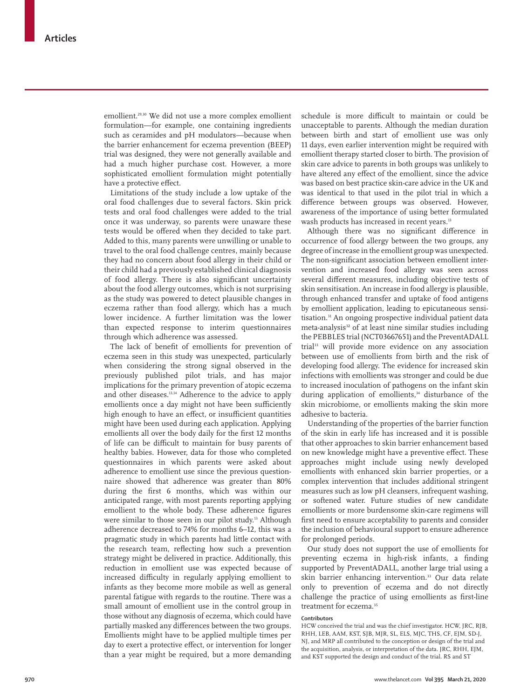emollient.<sup>29,30</sup> We did not use a more complex emollient formulation—for example, one containing ingredients such as ceramides and pH modulators—because when the barrier enhancement for eczema prevention (BEEP) trial was designed, they were not generally available and had a much higher purchase cost. However, a more sophisticated emollient formulation might potentially have a protective effect.

Limitations of the study include a low uptake of the oral food challenges due to several factors. Skin prick tests and oral food challenges were added to the trial once it was underway, so parents were unaware these tests would be offered when they decided to take part. Added to this, many parents were unwilling or unable to travel to the oral food challenge centres, mainly because they had no concern about food allergy in their child or their child had a previously established clinical diagnosis of food allergy. There is also significant uncertainty about the food allergy outcomes, which is not surprising as the study was powered to detect plausible changes in eczema rather than food allergy, which has a much lower incidence. A further limitation was the lower than expected response to interim questionnaires through which adherence was assessed.

The lack of benefit of emollients for prevention of eczema seen in this study was unexpected, particularly when considering the strong signal observed in the previously published pilot trials, and has major implications for the primary prevention of atopic eczema and other diseases.13,14 Adherence to the advice to apply emollients once a day might not have been sufficiently high enough to have an effect, or insufficient quantities might have been used during each application. Applying emollients all over the body daily for the first 12 months of life can be difficult to maintain for busy parents of healthy babies. However, data for those who completed questionnaires in which parents were asked about adherence to emollient use since the previous questionnaire showed that adherence was greater than 80% during the first 6 months, which was within our anticipated range, with most parents reporting applying emollient to the whole body. These adherence figures were similar to those seen in our pilot study.<sup>13</sup> Although adherence decreased to 74% for months 6–12, this was a pragmatic study in which parents had little contact with the research team, reflecting how such a prevention strategy might be delivered in practice. Additionally, this reduction in emollient use was expected because of increased difficulty in regularly applying emollient to infants as they become more mobile as well as general parental fatigue with regards to the routine. There was a small amount of emollient use in the control group in those without any diagnosis of eczema, which could have partially masked any differences between the two groups. Emollients might have to be applied multiple times per day to exert a protective effect, or intervention for longer than a year might be required, but a more demanding

schedule is more difficult to maintain or could be unacceptable to parents. Although the median duration between birth and start of emollient use was only 11 days, even earlier intervention might be required with emollient therapy started closer to birth. The provision of skin care advice to parents in both groups was unlikely to have altered any effect of the emollient, since the advice was based on best practice skin-care advice in the UK and was identical to that used in the pilot trial in which a difference between groups was observed. However, awareness of the importance of using better formulated wash products has increased in recent years.<sup>13</sup>

Although there was no significant difference in occurrence of food allergy between the two groups, any degree of increase in the emollient group was unexpected. The non-significant association between emollient intervention and increased food allergy was seen across several different measures, including objective tests of skin sensitisation. An increase in food allergy is plausible, through enhanced transfer and uptake of food antigens by emollient application, leading to epicutaneous sensitisation.<sup>31</sup> An ongoing prospective individual patient data meta-analysis<sup>32</sup> of at least nine similar studies including the PEBBLES trial (NCT03667651) and the PreventADALL trial<sup>33</sup> will provide more evidence on any association between use of emollients from birth and the risk of developing food allergy. The evidence for increased skin infections with emollients was stronger and could be due to increased inoculation of pathogens on the infant skin during application of emollients,<sup>34</sup> disturbance of the skin microbiome, or emollients making the skin more adhesive to bacteria.

Understanding of the properties of the barrier function of the skin in early life has increased and it is possible that other approaches to skin barrier enhancement based on new knowledge might have a preventive effect. These approaches might include using newly developed emollients with enhanced skin barrier properties, or a complex intervention that includes additional stringent measures such as low pH cleansers, infrequent washing, or softened water. Future studies of new candidate emollients or more burdensome skin-care regimens will first need to ensure acceptability to parents and consider the inclusion of behavioural support to ensure adherence for prolonged periods.

Our study does not support the use of emollients for preventing eczema in high-risk infants, a finding supported by PreventADALL, another large trial using a skin barrier enhancing intervention.<sup>33</sup> Our data relate only to prevention of eczema and do not directly challenge the practice of using emollients as first-line treatment for eczema.<sup>35</sup>

## **Contributors**

HCW conceived the trial and was the chief investigator. HCW, JRC, RJB, RHH, LEB, AAM, KST, SJB, MJR, SL, ELS, MJC, THS, CF, EJM, SD-J, NJ, and MRP all contributed to the conception or design of the trial and the acquisition, analysis, or interpretation of the data. JRC, RHH, EJM, and KST supported the design and conduct of the trial. RS and ST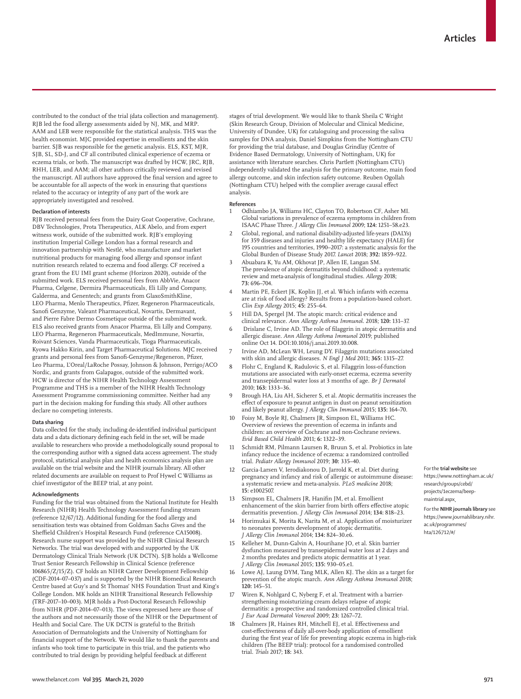contributed to the conduct of the trial (data collection and management). RJB led the food allergy assessments aided by NJ, MK, and MRP. AAM and LEB were responsible for the statistical analysis. THS was the health economist. MJC provided expertise in emollients and the skin barrier. SJB was responsible for the genetic analysis. ELS, KST, MJR, SIB, SL, SD-J, and CF all contributed clinical experience of eczema or eczema trials, or both. The manuscript was drafted by HCW, JRC, RJB, RHH, LEB, and AAM; all other authors critically reviewed and revised the manuscript. All authors have approved the final version and agree to be accountable for all aspects of the work in ensuring that questions related to the accuracy or integrity of any part of the work are appropriately investigated and resolved.

#### **Declaration of interests**

RJB received personal fees from the Dairy Goat Cooperative, Cochrane, DBV Technologies, Prota Therapeutics, ALK Abelo, and from expert witness work, outside of the submitted work. RJB's employing institution Imperial College London has a formal research and innovation partnership with Nestlé, who manufacture and market nutritional products for managing food allergy and sponsor infant nutrition research related to eczema and food allergy. CF received a grant from the EU IMI grant scheme (Horizon 2020), outside of the submitted work. ELS received personal fees from AbbVie, Anacor Pharma, Celgene, Dermira Pharmaceuticals, Eli Lilly and Company, Galderma, and Genentech; and grants from GlaxoSmithKline, LEO Pharma, Menlo Therapeutics, Pfizer, Regeneron Pharmaceuticals, Sanofi Genzyme, Valeant Pharmaceutical, Novartis, Dermavant, and Pierre Fabre Dermo Cosmetique outside of the submitted work. ELS also received grants from Anacor Pharma, Eli Lilly and Company, LEO Pharma, Regeneron Pharmaceuticals, MedImmune, Novartis, Roivant Sciences, Vanda Pharmaceuticals, Tioga Pharmaceuticals, Kyowa Hakko Kirin, and Target Pharmaceutical Solutions. MJC received grants and personal fees from Sanofi-Genzyme/Regeneron, Pfizer, Leo Pharma, L'Oreal/LaRoche Possay, Johnson & Johnson, Perrigo/ACO Nordic, and grants from Galapagos, outside of the submitted work. HCW is director of the NIHR Health Technology Assessment Programme and THS is a member of the NIHR Health Technology Assessment Programme commissioning committee. Neither had any part in the decision making for funding this study. All other authors declare no competing interests.

#### **Data sharing**

Data collected for the study, including de-identified individual participant data and a data dictionary defining each field in the set, will be made available to researchers who provide a methodologically sound proposal to the corresponding author with a signed data access agreement. The study protocol, statistical analysis plan and health economics analysis plan are available on the [trial website](https://www.nottingham.ac.uk/research/groups/cebd/projects/1eczema/beep-maintrial.aspx) and the [NIHR journals library.](https://www.journalslibrary.nihr.ac.uk/programmes/hta/126712/#/) All other related documents are available on request to Prof Hywel C Williams as chief investigator of the BEEP trial, at any point.

#### **Acknowledgments**

Funding for the trial was obtained from the National Institute for Health Research (NIHR) Health Technology Assessment funding stream (reference 12/67/12). Additional funding for the food allergy and sensitisation tests was obtained from Goldman Sachs Gives and the Sheffield Children's Hospital Research Fund (reference CA15008). Research nurse support was provided by the NIHR Clinical Research Networks. The trial was developed with and supported by the UK Dermatology Clinical Trials Network (UK DCTN). SJB holds a Wellcome Trust Senior Research Fellowship in Clinical Science (reference 106865/Z/15/Z). CF holds an NIHR Career Development Fellowship (CDF-2014–07–037) and is supported by the NIHR Biomedical Research Centre based at Guy's and St Thomas' NHS Foundation Trust and King's College London. MK holds an NIHR Transitional Research Fellowship (TRF-2017–10–003). MJR holds a Post-Doctoral Research Fellowship from NIHR (PDF-2014–07–013). The views expressed here are those of the authors and not necessarily those of the NIHR or the Department of Health and Social Care. The UK DCTN is grateful to the British Association of Dermatologists and the University of Nottingham for financial support of the Network. We would like to thank the parents and infants who took time to participate in this trial, and the patients who contributed to trial design by providing helpful feedback at different

stages of trial development. We would like to thank Sheila C Wright (Skin Research Group, Division of Molecular and Clinical Medicine, University of Dundee, UK) for cataloguing and processing the saliva samples for DNA analysis, Daniel Simpkins from the Nottingham CTU for providing the trial database, and Douglas Grindlay (Centre of Evidence Based Dermatology, University of Nottingham, UK) for assistance with literature searches. Chris Partlett (Nottingham CTU) independently validated the analysis for the primary outcome, main food allergy outcome, and skin infection safety outcome. Reuben Ogollah (Nottingham CTU) helped with the complier average causal effect analysis.

#### **References**

- 1 Odhiambo JA, Williams HC, Clayton TO, Robertson CF, Asher MI. Global variations in prevalence of eczema symptoms in children from ISAAC Phase Three. *J Allergy Clin Immunol* 2009; **124:** 1251–58.e23.
- 2 Global, regional, and national disability-adjusted life-years (DALYs) for 359 diseases and injuries and healthy life expectancy (HALE) for 195 countries and territories, 1990–2017: a systematic analysis for the Global Burden of Disease Study 2017. *Lancet* 2018; **392:** 1859–922.
- 3 Abuabara K, Yu AM, Okhovat JP, Allen IE, Langan SM. The prevalence of atopic dermatitis beyond childhood: a systematic review and meta-analysis of longitudinal studies. *Allergy* 2018; **73:** 696–704.
- Martin PE, Eckert JK, Koplin JJ, et al. Which infants with eczema are at risk of food allergy? Results from a population-based cohort. *Clin Exp Allergy* 2015; **45:** 255–64.
- 5 Hill DA, Spergel JM. The atopic march: critical evidence and clinical relevance. *Ann Allergy Asthma Immunol.* 2018; **120:** 131–37.
- 6 Drislane C, Irvine AD. The role of filaggrin in atopic dermatitis and allergic disease. *Ann Allergy Asthma Immunol* 2019; published online Oct 14. DOI:10.1016/j.anai.2019.10.008.
- 7 Irvine AD, McLean WH, Leung DY. Filaggrin mutations associated with skin and allergic diseases. *N Engl J Med* 2011; **365:** 1315–27.
- 8 Flohr C, England K, Radulovic S, et al. Filaggrin loss-of-function mutations are associated with early-onset eczema, eczema severity and transepidermal water loss at 3 months of age. *Br J Dermatol* 2010; **163:** 1333–36.
- 9 Brough HA, Liu AH, Sicherer S, et al. Atopic dermatitis increases the effect of exposure to peanut antigen in dust on peanut sensitization and likely peanut allergy. *J Allergy Clin Immunol* 2015; **135:** 164–70.
- 10 Foisy M, Boyle RJ, Chalmers JR, Simpson EL, Williams HC. Overview of reviews the prevention of eczema in infants and children: an overview of Cochrane and non-Cochrane reviews. *Evid Based Child Health* 2011; **6:** 1322–39.
- 11 Schmidt RM, Pilmann Laursen R, Bruun S, et al. Probiotics in late infancy reduce the incidence of eczema: a randomized controlled trial. *Pediatr Allergy Immunol* 2019; **30:** 335–40.
- 12 Garcia-Larsen V, Ierodiakonou D, Jarrold K, et al. Diet during pregnancy and infancy and risk of allergic or autoimmune disease: a systematic review and meta-analysis. *PLoS medicine* 2018; **15:** e1002507.
- 13 Simpson EL, Chalmers JR, Hanifin JM, et al. Emollient enhancement of the skin barrier from birth offers effective atopic dermatitis prevention. *J Allergy Clin Immunol* 2014; **134:** 818–23.
- Horimukai K, Morita K, Narita M, et al. Application of moisturizer to neonates prevents development of atopic dermatitis. *J Allergy Clin Immunol* 2014; **134:** 824–30.e6.
- Kelleher M, Dunn-Galvin A, Hourihane JO, et al. Skin barrier dysfunction measured by transepidermal water loss at 2 days and 2 months predates and predicts atopic dermatitis at 1 year. *J Allergy Clin Immunol* 2015; **135:** 930–05.e1.
- 16 Lowe AJ, Laung DYM, Tang MLK, Allen KJ. The skin as a target for prevention of the atopic march. *Ann Allergy Asthma Immunol* 2018; **120:** 145–51.
- Wiren K, Nohlgard C, Nyberg F, et al. Treatment with a barrierstrengthening moisturizing cream delays relapse of atopic dermatitis: a prospective and randomized controlled clinical trial. *J Eur Acad Dermatol Venereol* 2009; **23:** 1267–72.
- 18 Chalmers JR, Haines RH, Mitchell EJ, et al. Effectiveness and cost-effectiveness of daily all-over-body application of emollient during the first year of life for preventing atopic eczema in high-risk children (The BEEP trial): protocol for a randomised controlled trial. *Trials* 2017; **18:** 343.

#### For the **trial website** see

[https://www.nottingham.ac.uk/](https://www.nottingham.ac.uk/research/groups/cebd/projects/1eczema/beep-maintrial.aspx) [research/groups/cebd/](https://www.nottingham.ac.uk/research/groups/cebd/projects/1eczema/beep-maintrial.aspx) [projects/1eczema/beep](https://www.nottingham.ac.uk/research/groups/cebd/projects/1eczema/beep-maintrial.aspx)[maintrial.aspx](https://www.nottingham.ac.uk/research/groups/cebd/projects/1eczema/beep-maintrial.aspx) 

For the **NIHR journals library** see [https://www.journalslibrary.nihr.](https://www.journalslibrary.nihr.ac.uk/programmes/hta/126712/#/) [ac.uk/programmes/](https://www.journalslibrary.nihr.ac.uk/programmes/hta/126712/#/) [hta/126712/#/](https://www.journalslibrary.nihr.ac.uk/programmes/hta/126712/#/)